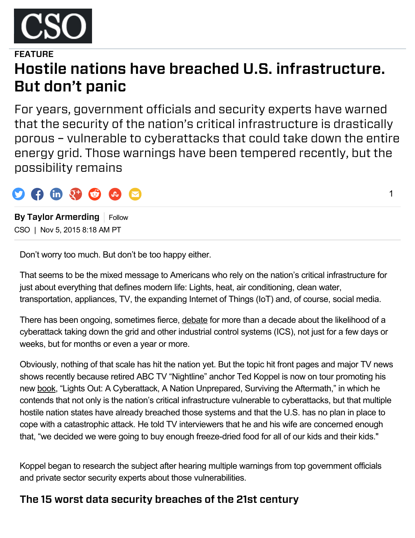

# FFATURE Hostile nations have breached U.S. infrastructure. But don't panic

For years, government officials and security experts have warned that the security of the nation's critical infrastructure is drastically porous – vulnerable to cyberattacks that could take down the entire energy grid. Those warnings have been tempered recently, but the possibility remains

1



By Taylor Armerding Follow CSO | Nov 5, 2015 8:18 AM PT

Don't worry too much. But don't be too happy either.

That seems to be the mixed message to Americans who rely on the nation's critical infrastructure for just about everything that defines modern life: Lights, heat, air conditioning, clean water, transportation, appliances, TV, the expanding Internet of Things (IoT) and, of course, social media.

There has been ongoing, sometimes fierce, [debate](http://www.csoonline.com/article/735736/critical-infrastructure-protection-are-we-prepared-for-a-massive-cyberattack-on-u.s.-systems-) for more than a decade about the likelihood of a cyberattack taking down the grid and other industrial control systems (ICS), not just for a few days or weeks, but for months or even a year or more.

Obviously, nothing of that scale has hit the nation yet. But the topic hit front pages and major TV news shows recently because retired ABC TV "Nightline" anchor Ted Koppel is now on tour promoting his new [book,](http://www.penguinrandomhouse.com/books/246944/lights-out-by-ted-koppel/9780553419962/) "Lights Out: A Cyberattack, A Nation Unprepared, Surviving the Aftermath," in which he contends that not only is the nation's critical infrastructure vulnerable to cyberattacks, but that multiple hostile nation states have already breached those systems and that the U.S. has no plan in place to cope with a catastrophic attack. He told TV interviewers that he and his wife are concerned enough that, "we decided we were going to buy enough freeze-dried food for all of our kids and their kids."

Koppel began to research the subject after hearing multiple warnings from top government officials and private sector security experts about those vulnerabilities.

## The 15 worst data security breaches of the 21st century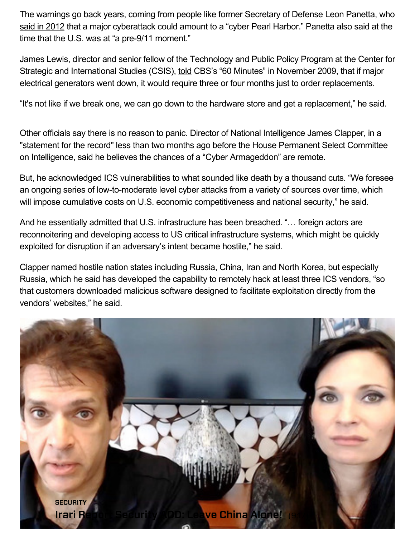The warnings go back years, coming from people like former Secretary of Defense Leon Panetta, who said in [2012](http://www.csoonline.com/article/719166/u.s.-rattles-preemptive-cyberattack-saber) that a major cyberattack could amount to a "cyber Pearl Harbor." Panetta also said at the time that the U.S. was at "a pre- $9/11$  moment."

James Lewis, director and senior fellow of the Technology and Public Policy Program at the Center for Strategic and International Studies (CSIS), [told](http://www.youtube.com/watch?v=rTkXgqK1l9A) CBS's "60 Minutes" in November 2009, that if major electrical generators went down, it would require three or four months just to order replacements.

"It's not like if we break one, we can go down to the hardware store and get a replacement," he said.

Other officials say there is no reason to panic. Director of National Intelligence James Clapper, in a ["statement](http://www.dni.gov/files/documents/HPSCI%2010%20Sept%20Cyber%20Hearing%20SFR.pdf) for the record" less than two months ago before the House Permanent Select Committee on Intelligence, said he believes the chances of a "Cyber Armageddon" are remote.

But, he acknowledged ICS vulnerabilities to what sounded like death by a thousand cuts. "We foresee an ongoing series of low-to-moderate level cyber attacks from a variety of sources over time, which will impose cumulative costs on U.S. economic competitiveness and national security," he said.

And he essentially admitted that U.S. infrastructure has been breached. "… foreign actors are reconnoitering and developing access to US critical infrastructure systems, which might be quickly exploited for disruption if an adversary's intent became hostile," he said.

Clapper named hostile nation states including Russia, China, Iran and North Korea, but especially Russia, which he said has developed the capability to remotely hack at least three ICS vendors, "so that customers downloaded malicious software designed to facilitate exploitation directly from the vendors' websites," he said.

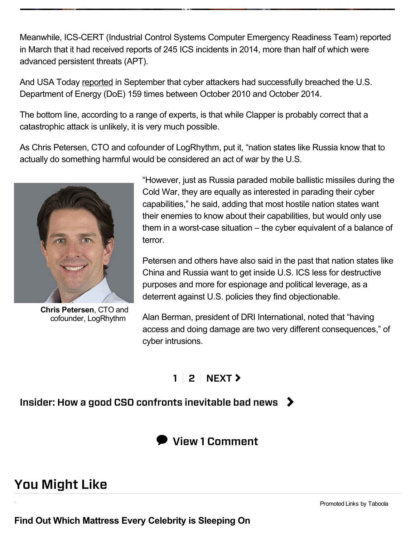Meanwhile, ICS-CERT (Industrial Control Systems Computer Emergency Readiness Team) reported in March that it had received reports of 245 ICS incidents in 2014, more than half of which were advanced persistent threats (APT).

And USA Today [reported](http://www.usatoday.com/story/news/2015/09/09/cyber-attacks-doe-energy/71929786/) in September that cyber attackers had successfully breached the U.S. Department of Energy (DoE) 159 times between October 2010 and October 2014.

The bottom line, according to a range of experts, is that while Clapper is probably correct that a catastrophic attack is unlikely, it is very much possible.

As Chris Petersen, CTO and cofounder of LogRhythm, put it, "nation states like Russia know that to actually do something harmful would be considered an act of war by the U.S.



Chris Petersen, CTO and cofounder, LogRhythm

"However, just as Russia paraded mobile ballistic missiles during the Cold War, they are equally as interested in parading their cyber capabilities," he said, adding that most hostile nation states want their enemies to know about their capabilities, but would only use them in a worst-case situation  $-$  the cyber equivalent of a balance of terror.

Petersen and others have also said in the past that nation states like China and Russia want to get inside U.S. ICS less for destructive purposes and more for espionage and political leverage, as a deterrent against U.S. policies they find objectionable.

Alan Berman, president of DRI International, noted that "having access and doing damage are two very different consequences," of cyber intrusions.

## $1 \mid 2 \mid \text{NEXT}$  $1 \mid 2 \mid \text{NEXT}$  $1 \mid 2 \mid \text{NEXT}$  $1 \mid 2 \mid \text{NEXT}$

Insider: How a good CSO confronts inevitable bad news  $\triangleright$ 



## You Might Like

Find Out Which Mattress Every Celebrity is Sleeping On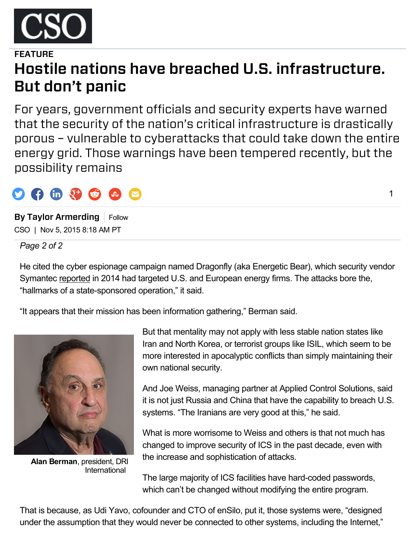

# FFATURE Hostile nations have breached U.S. infrastructure. But don't panic

For years, government officials and security experts have warned that the security of the nation's critical infrastructure is drastically porous – vulnerable to cyberattacks that could take down the entire energy grid. Those warnings have been tempered recently, but the possibility remains

# $\mathbf{F}$  (in  $\mathbf{Q}^+$   $\mathbf{C}$ )

By Taylor Armerding Follow CSO | Nov 5, 2015 8:18 AM PT

*Page 2 of 2*

He cited the cyber espionage campaign named Dragonfly (aka Energetic Bear), which security vendor Symantec [reported](http://www.symantec.com/connect/blogs/emerging-threat-dragonfly-energetic-bear-apt-group) in 2014 had targeted U.S. and European energy firms. The attacks bore the, "hallmarks of a state-sponsored operation," it said.

"It appears that their mission has been information gathering," Berman said.



Alan Berman, president, DRI International

But that mentality may not apply with less stable nation states like Iran and North Korea, or terrorist groups like ISIL, which seem to be more interested in apocalyptic conflicts than simply maintaining their own national security.

And Joe Weiss, managing partner at Applied Control Solutions, said it is not just Russia and China that have the capability to breach U.S. systems. "The Iranians are very good at this," he said.

What is more worrisome to Weiss and others is that not much has changed to improve security of ICS in the past decade, even with the increase and sophistication of attacks.

The large majority of ICS facilities have hard-coded passwords, which can't be changed without modifying the entire program.

That is because, as Udi Yavo, cofounder and CTO of enSilo, put it, those systems were, "designed under the assumption that they would never be connected to other systems, including the Internet,"

1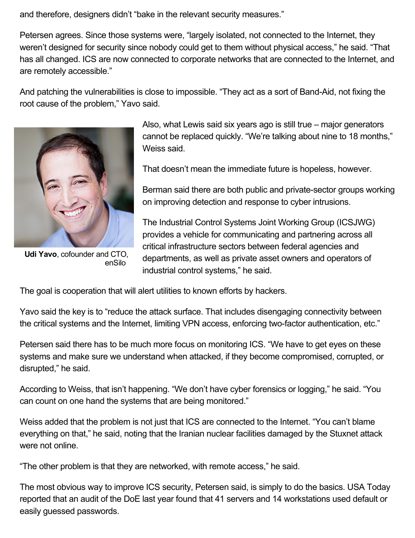and therefore, designers didn't "bake in the relevant security measures."

Petersen agrees. Since those systems were, "largely isolated, not connected to the Internet, they weren't designed for security since nobody could get to them without physical access," he said. "That has all changed. ICS are now connected to corporate networks that are connected to the Internet, and are remotely accessible."

And patching the vulnerabilities is close to impossible. "They act as a sort of Band-Aid, not fixing the root cause of the problem," Yavo said.



Udi Yavo, cofounder and CTO, enSilo

Also, what Lewis said six years ago is still true – major generators cannot be replaced quickly. "We're talking about nine to 18 months," Weiss said.

That doesn't mean the immediate future is hopeless, however.

Berman said there are both public and private-sector groups working on improving detection and response to cyber intrusions.

The Industrial Control Systems Joint Working Group (ICSJWG) provides a vehicle for communicating and partnering across all critical infrastructure sectors between federal agencies and departments, as well as private asset owners and operators of industrial control systems," he said.

The goal is cooperation that will alert utilities to known efforts by hackers.

Yavo said the key is to "reduce the attack surface. That includes disengaging connectivity between the critical systems and the Internet, limiting VPN access, enforcing two-factor authentication, etc."

Petersen said there has to be much more focus on monitoring ICS. "We have to get eyes on these systems and make sure we understand when attacked, if they become compromised, corrupted, or disrupted," he said.

According to Weiss, that isn't happening. "We don't have cyber forensics or logging," he said. "You can count on one hand the systems that are being monitored."

Weiss added that the problem is not just that ICS are connected to the Internet. "You can't blame everything on that," he said, noting that the Iranian nuclear facilities damaged by the Stuxnet attack were not online.

"The other problem is that they are networked, with remote access," he said.

The most obvious way to improve ICS security, Petersen said, is simply to do the basics. USA Today reported that an audit of the DoE last year found that 41 servers and 14 workstations used default or easily guessed passwords.